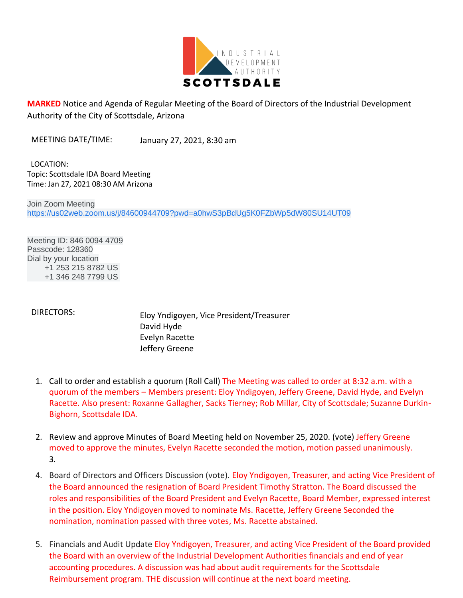

**MARKED** Notice and Agenda of Regular Meeting of the Board of Directors of the Industrial Development Authority of the City of Scottsdale, Arizona

MEETING DATE/TIME: January 27, 2021, 8:30 am

 LOCATION: Topic: Scottsdale IDA Board Meeting Time: Jan 27, 2021 08:30 AM Arizona

Join Zoom Meeting [https://us02web.zoom.us/j/84600944709?pwd=a0hwS3pBdUg5K0FZbWp5dW80SU14UT09](https://www.google.com/url?q=https://us02web.zoom.us/j/84600944709?pwd%3Da0hwS3pBdUg5K0FZbWp5dW80SU14UT09&sa=D&source=calendar&ust=1611604301439000&usg=AOvVaw02FdWaZbwxNngLgFulDhCQ)

Meeting ID: 846 0094 4709 Passcode: 128360 Dial by your location +1 253 215 8782 US +1 346 248 7799 US

 DIRECTORS: Eloy Yndigoyen, Vice President/Treasurer David Hyde Evelyn Racette Jeffery Greene

- 1. Call to order and establish a quorum (Roll Call) The Meeting was called to order at 8:32 a.m. with a quorum of the members – Members present: Eloy Yndigoyen, Jeffery Greene, David Hyde, and Evelyn Racette. Also present: Roxanne Gallagher, Sacks Tierney; Rob Millar, City of Scottsdale; Suzanne Durkin-Bighorn, Scottsdale IDA.
- 2. Review and approve Minutes of Board Meeting held on November 25, 2020. (vote) Jeffery Greene moved to approve the minutes, Evelyn Racette seconded the motion, motion passed unanimously. 3.
- 4. Board of Directors and Officers Discussion (vote). Eloy Yndigoyen, Treasurer, and acting Vice President of the Board announced the resignation of Board President Timothy Stratton. The Board discussed the roles and responsibilities of the Board President and Evelyn Racette, Board Member, expressed interest in the position. Eloy Yndigoyen moved to nominate Ms. Racette, Jeffery Greene Seconded the nomination, nomination passed with three votes, Ms. Racette abstained.
- 5. Financials and Audit Update Eloy Yndigoyen, Treasurer, and acting Vice President of the Board provided the Board with an overview of the Industrial Development Authorities financials and end of year accounting procedures. A discussion was had about audit requirements for the Scottsdale Reimbursement program. THE discussion will continue at the next board meeting.